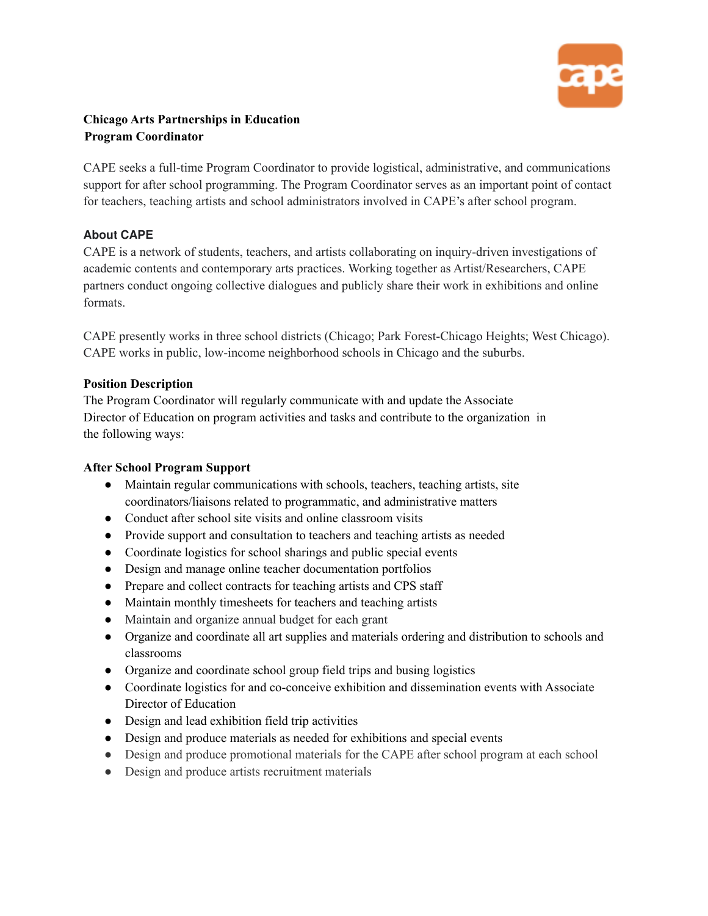

# **Chicago Arts Partnerships in Education Program Coordinator**

CAPE seeks a full-time Program Coordinator to provide logistical, administrative, and communications support for after school programming. The Program Coordinator serves as an important point of contact for teachers, teaching artists and school administrators involved in CAPE's after school program.

## **About CAPE**

CAPE is a network of students, teachers, and artists collaborating on inquiry-driven investigations of academic contents and contemporary arts practices. Working together as Artist/Researchers, CAPE partners conduct ongoing collective dialogues and publicly share their work in exhibitions and online formats.

CAPE presently works in three school districts (Chicago; Park Forest-Chicago Heights; West Chicago). CAPE works in public, low-income neighborhood schools in Chicago and the suburbs.

### **Position Description**

The Program Coordinator will regularly communicate with and update the Associate Director of Education on program activities and tasks and contribute to the organization in the following ways:

# **After School Program Support**

- Maintain regular communications with schools, teachers, teaching artists, site coordinators/liaisons related to programmatic, and administrative matters
- Conduct after school site visits and online classroom visits
- Provide support and consultation to teachers and teaching artists as needed
- Coordinate logistics for school sharings and public special events
- Design and manage online teacher documentation portfolios
- Prepare and collect contracts for teaching artists and CPS staff
- Maintain monthly timesheets for teachers and teaching artists
- Maintain and organize annual budget for each grant
- Organize and coordinate all art supplies and materials ordering and distribution to schools and classrooms
- Organize and coordinate school group field trips and busing logistics
- Coordinate logistics for and co-conceive exhibition and dissemination events with Associate Director of Education
- Design and lead exhibition field trip activities
- Design and produce materials as needed for exhibitions and special events
- Design and produce promotional materials for the CAPE after school program at each school
- Design and produce artists recruitment materials